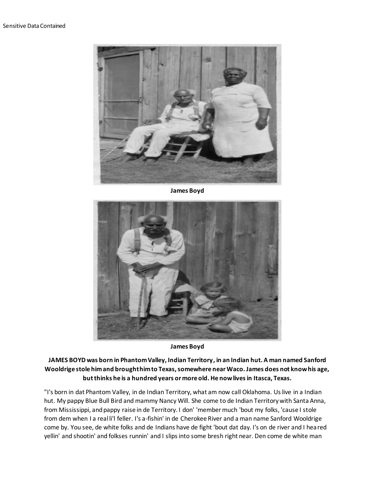

**James Boyd**



**James Boyd**

**JAMES BOYD was born in Phantom Valley, Indian Territory, in an Indian hut. A man named Sanford Wooldrige stole him and brought him to Texas, somewhere near Waco. James does not know his age, but thinks he is a hundred years or more old. He now lives in Itasca, Texas.**

"I's born in dat Phantom Valley, in de Indian Territory, what am now call Oklahoma. Us live in a Indian hut. My pappy Blue Bull Bird and mammy Nancy Will. She come to de Indian Territory with Santa Anna, from Mississippi, and pappy raise in de Territory. I don' 'member much 'bout my folks, 'cause I stole from dem when I a real li'l feller. I's a-fishin' in de Cherokee River and a man name Sanford Wooldrige come by. You see, de white folks and de Indians have de fight 'bout dat day. I's on de river and I heared yellin' and shootin' and folkses runnin' and I slips into some bresh right near. Den come de white man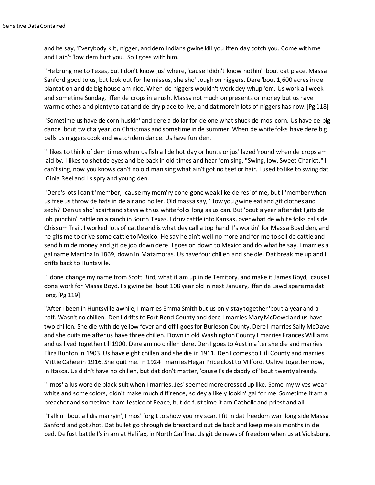and he say, 'Everybody kilt, nigger, and dem Indians gwine kill you iffen day cotch you. Come with me and I ain't 'low dem hurt you.' So I goes with him.

"He brung me to Texas, but I don't know jus' where, 'cause I didn't know nothin' 'bout dat place. Massa Sanford good to us, but look out for he missus, she sho' tough on niggers. Dere 'bout 1,600 acres in de plantation and de big house am nice. When de niggers wouldn't work dey whup 'em. Us work all week and sometime Sunday, iffen de crops in a rush. Massa not much on presents or money but us have warm clothes and plenty to eat and de dry place to live, and dat more'n lots of niggers has now.[Pg 118]

"Sometime us have de corn huskin' and dere a dollar for de one what shuck de mos' corn. Us have de big dance 'bout twict a year, on Christmas and sometime in de summer. When de white folks have dere big balls us niggers cook and watch dem dance. Us have fun den.

"I likes to think of dem times when us fish all de hot day or hunts or jus' lazed 'round when de crops am laid by. I likes to shet de eyes and be back in old times and hear 'em sing, "Swing, low, Sweet Chariot." I can't sing, now you knows can't no old man sing what ain't got no teef or hair. I used to like to swing dat 'Ginia Reel and I's spry and young den.

"Dere's lots I can't 'member, 'cause my mem'ry done gone weak like de res' of me, but I 'member when us free us throw de hats in de air and holler. Old massa say, 'How you gwine eat and git clothes and sech?' Den us sho' scairt and stays with us white folks long as us can. But 'bout a year after dat I gits de job punchin' cattle on a ranch in South Texas. I druv cattle into Kansas, over what de white folks calls de Chissum Trail. I worked lots of cattle and is what dey call a top hand. I's workin' for Massa Boyd den, and he gits me to drive some cattle to Mexico. He say he ain't well no more and for me to sell de cattle and send him de money and git de job down dere. I goes on down to Mexico and do what he say. I marries a gal name Martina in 1869, down in Matamoras. Us have four chillen and she die. Dat break me up and I drifts back to Huntsville.

"I done change my name from Scott Bird, what it am up in de Territory, and make it James Boyd, 'cause I done work for Massa Boyd. I's gwine be 'bout 108 year old in next January, iffen de Lawd spare me dat long.[Pg 119]

"After I been in Huntsville awhile, I marries Emma Smith but us only stay together 'bout a year and a half. Wasn't no chillen. Den I drifts to Fort Bend County and dere I marries Mary McDowd and us have two chillen. She die with de yellow fever and off I goes for Burleson County. Dere I marries Sally McDave and she quits me after us have three chillen. Down in old Washington County I marries Frances Williams and us lived together till 1900. Dere am no chillen dere. Den I goes to Austin after she die and marries Eliza Bunton in 1903. Us have eight chillen and she die in 1911. Den I comes to Hill County and marries Mittie Cahee in 1916. She quit me. In 1924 I marries Hegar Price clost to Milford. Us live together now, in Itasca. Us didn't have no chillen, but dat don't matter, 'cause I's de daddy of 'bout twenty already.

"I mos' allus wore de black suit when I marries. Jes' seemed more dressed up like. Some my wives wear white and some colors, didn't make much diff'rence, so dey a likely lookin' gal for me. Sometime it am a preacher and sometime it am Jestice of Peace, but de fust time it am Catholic and priest and all.

"Talkin' 'bout all dis marryin', I mos' forgit to show you my scar. I fit in dat freedom war 'long side Massa Sanford and got shot. Dat bullet go through de breast and out de back and keep me six months in de bed. De fust battle I's in am at Halifax, in North Car'lina. Us git de news of freedom when us at Vicksburg,